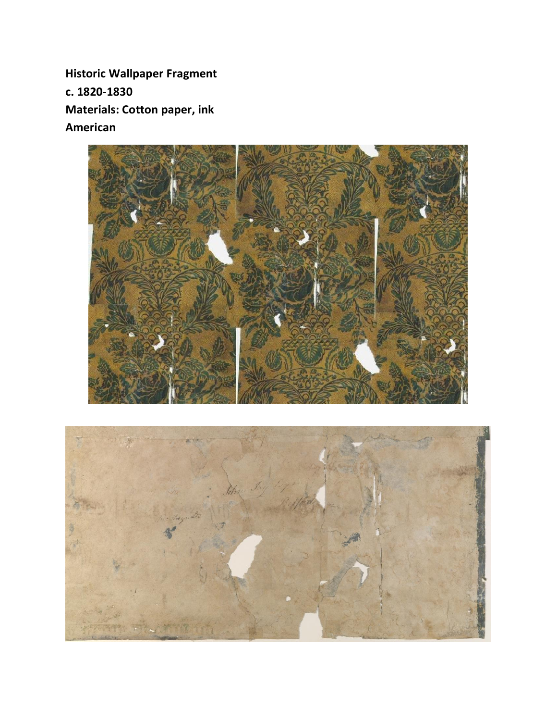**Historic Wallpaper Fragment c. 1820-1830 Materials: Cotton paper, ink American**



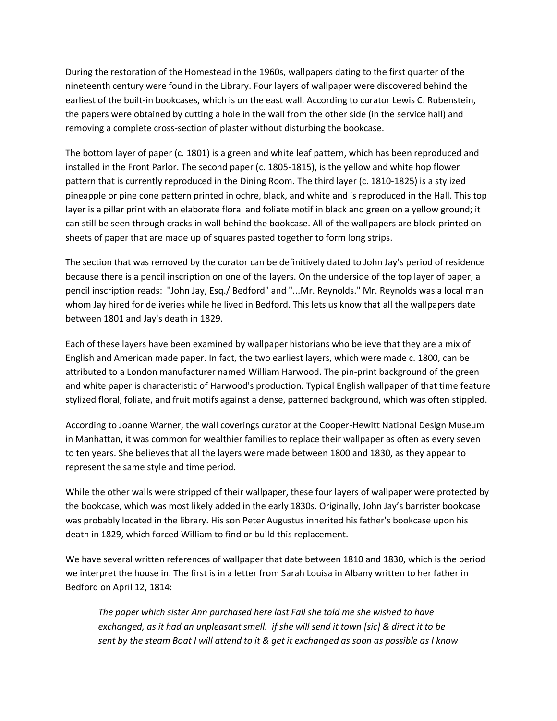During the restoration of the Homestead in the 1960s, wallpapers dating to the first quarter of the nineteenth century were found in the Library. Four layers of wallpaper were discovered behind the earliest of the built-in bookcases, which is on the east wall. According to curator Lewis C. Rubenstein, the papers were obtained by cutting a hole in the wall from the other side (in the service hall) and removing a complete cross-section of plaster without disturbing the bookcase.

The bottom layer of paper (c. 1801) is a green and white leaf pattern, which has been reproduced and installed in the Front Parlor. The second paper (c. 1805-1815), is the yellow and white hop flower pattern that is currently reproduced in the Dining Room. The third layer (c. 1810-1825) is a stylized pineapple or pine cone pattern printed in ochre, black, and white and is reproduced in the Hall. This top layer is a pillar print with an elaborate floral and foliate motif in black and green on a yellow ground; it can still be seen through cracks in wall behind the bookcase. All of the wallpapers are block-printed on sheets of paper that are made up of squares pasted together to form long strips.

The section that was removed by the curator can be definitively dated to John Jay's period of residence because there is a pencil inscription on one of the layers. On the underside of the top layer of paper, a pencil inscription reads: "John Jay, Esq./ Bedford" and "...Mr. Reynolds." Mr. Reynolds was a local man whom Jay hired for deliveries while he lived in Bedford. This lets us know that all the wallpapers date between 1801 and Jay's death in 1829.

Each of these layers have been examined by wallpaper historians who believe that they are a mix of English and American made paper. In fact, the two earliest layers, which were made c. 1800, can be attributed to a London manufacturer named William Harwood. The pin-print background of the green and white paper is characteristic of Harwood's production. Typical English wallpaper of that time feature stylized floral, foliate, and fruit motifs against a dense, patterned background, which was often stippled.

According to Joanne Warner, the wall coverings curator at the Cooper-Hewitt National Design Museum in Manhattan, it was common for wealthier families to replace their wallpaper as often as every seven to ten years. She believes that all the layers were made between 1800 and 1830, as they appear to represent the same style and time period.

While the other walls were stripped of their wallpaper, these four layers of wallpaper were protected by the bookcase, which was most likely added in the early 1830s. Originally, John Jay's barrister bookcase was probably located in the library. His son Peter Augustus inherited his father's bookcase upon his death in 1829, which forced William to find or build this replacement.

We have several written references of wallpaper that date between 1810 and 1830, which is the period we interpret the house in. The first is in a letter from Sarah Louisa in Albany written to her father in Bedford on April 12, 1814:

*The paper which sister Ann purchased here last Fall she told me she wished to have exchanged, as it had an unpleasant smell. if she will send it town [sic] & direct it to be sent by the steam Boat I will attend to it & get it exchanged as soon as possible as I know*